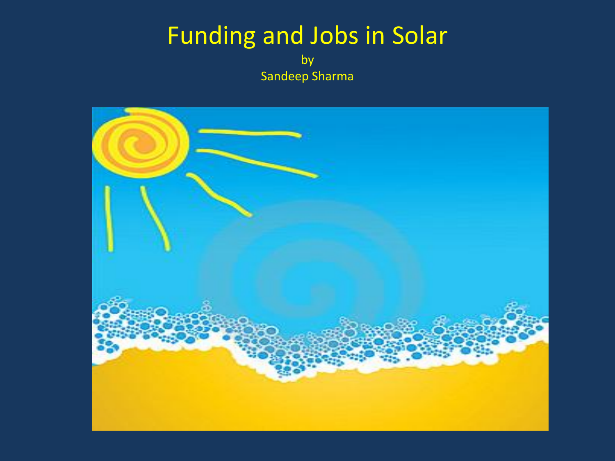# Funding and Jobs in Solar

by Sandeep Sharma

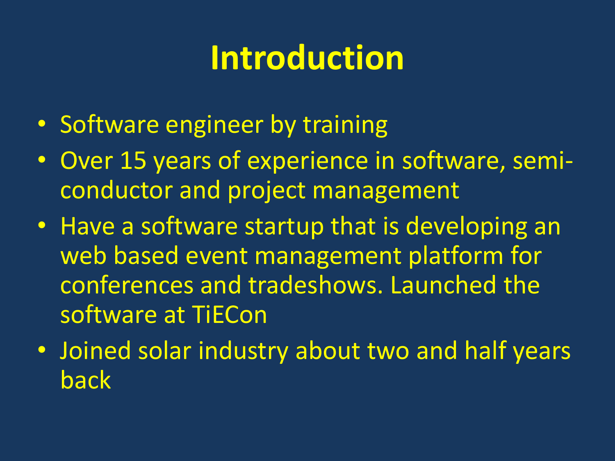### **Introduction**

- Software engineer by training
- Over 15 years of experience in software, semiconductor and project management
- Have a software startup that is developing an web based event management platform for conferences and tradeshows. Launched the software at TiECon
- Joined solar industry about two and half years back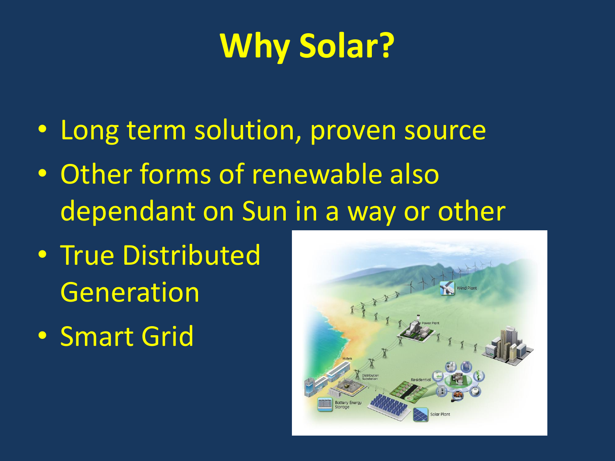# **Why Solar?**

- Long term solution, proven source
- Other forms of renewable also dependant on Sun in a way or other
- True Distributed Generation
- Smart Grid

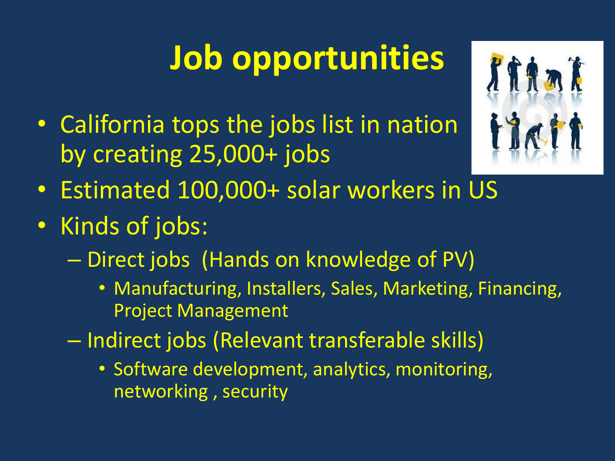# **Job opportunities**

• California tops the jobs list in nation by creating 25,000+ jobs



- Estimated 100,000+ solar workers in US
- Kinds of jobs:
	- Direct jobs (Hands on knowledge of PV)
		- Manufacturing, Installers, Sales, Marketing, Financing, Project Management
	- Indirect jobs (Relevant transferable skills)
		- Software development, analytics, monitoring, networking , security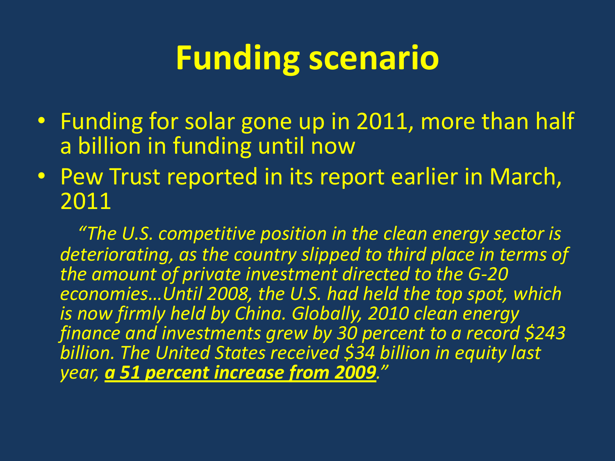## **Funding scenario**

- Funding for solar gone up in 2011, more than half a billion in funding until now
- Pew Trust reported in its report earlier in March, 2011

 *"The U.S. competitive position in the clean energy sector is deteriorating, as the country slipped to third place in terms of the amount of private investment directed to the G-20 economies…Until 2008, the U.S. had held the top spot, which is now firmly held by China. Globally, 2010 clean energy finance and investments grew by 30 percent to a record \$243 billion. The United States received \$34 billion in equity last year, a 51 percent increase from 2009."*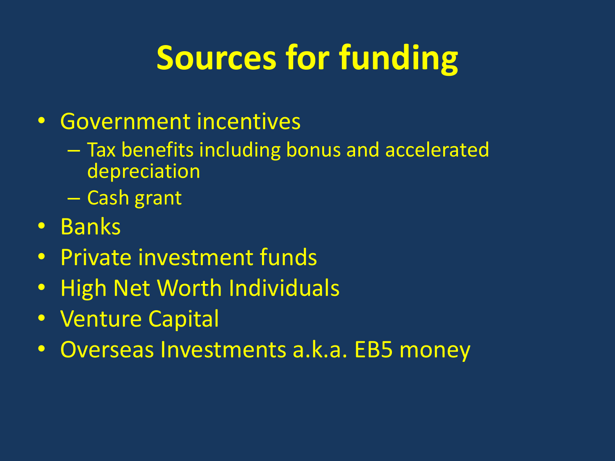# **Sources for funding**

#### • Government incentives

- Tax benefits including bonus and accelerated depreciation
- Cash grant
- Banks
- Private investment funds
- High Net Worth Individuals
- Venture Capital
- Overseas Investments a.k.a. EB5 money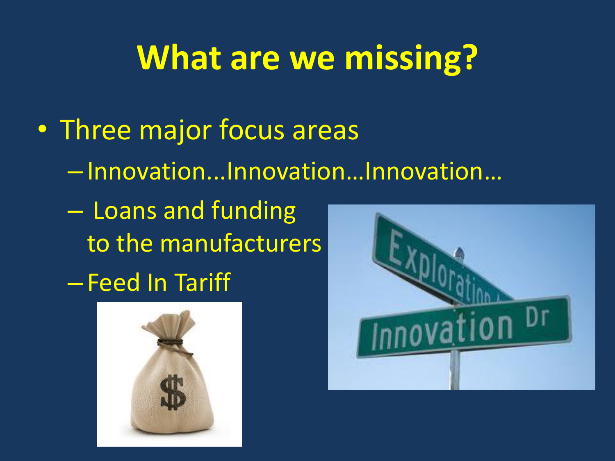### **What are we missing?**

- Three major focus areas
	- Innovation...Innovation…Innovation…
	- Loans and funding to the manufacturers
	- Feed In Tariff



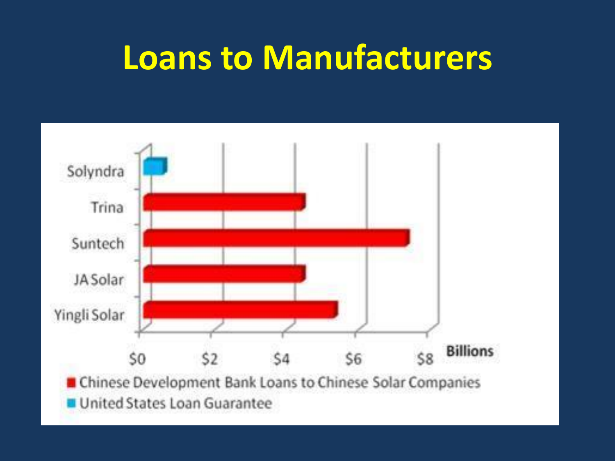### **Loans to Manufacturers**

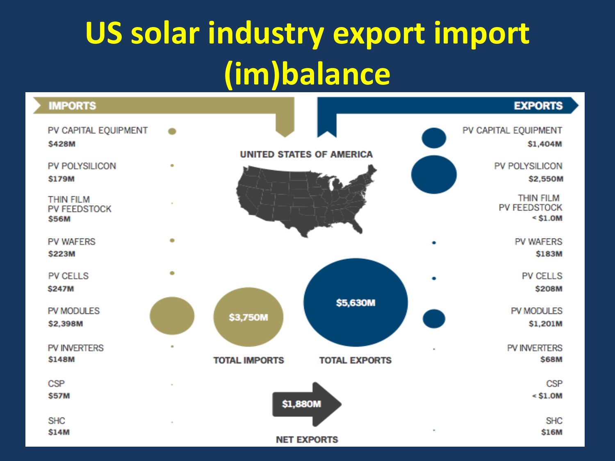# **US solar industry export import (im)balance**

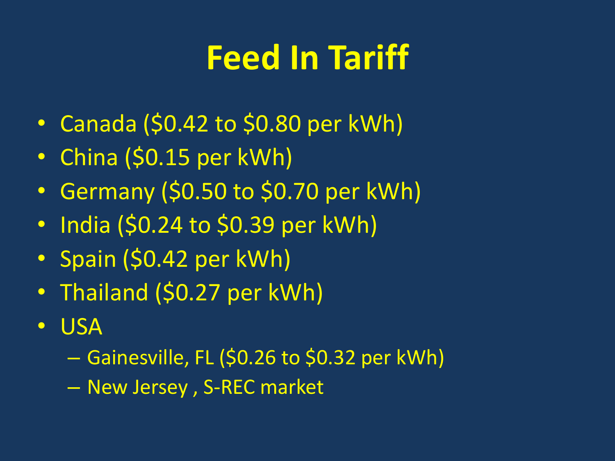# **Feed In Tariff**

- Canada (\$0.42 to \$0.80 per kWh)
- China (\$0.15 per kWh)
- Germany (\$0.50 to \$0.70 per kWh)
- India (\$0.24 to \$0.39 per kWh)
- Spain (\$0.42 per kWh)
- Thailand (\$0.27 per kWh)
- USA
	- Gainesville, FL (\$0.26 to \$0.32 per kWh)
	- New Jersey , S-REC market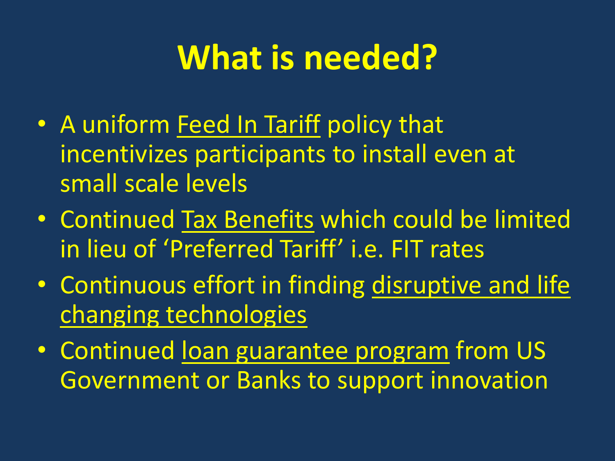## **What is needed?**

- A uniform Feed In Tariff policy that incentivizes participants to install even at small scale levels
- Continued Tax Benefits which could be limited in lieu of 'Preferred Tariff' i.e. FIT rates
- Continuous effort in finding disruptive and life changing technologies
- Continued loan guarantee program from US Government or Banks to support innovation